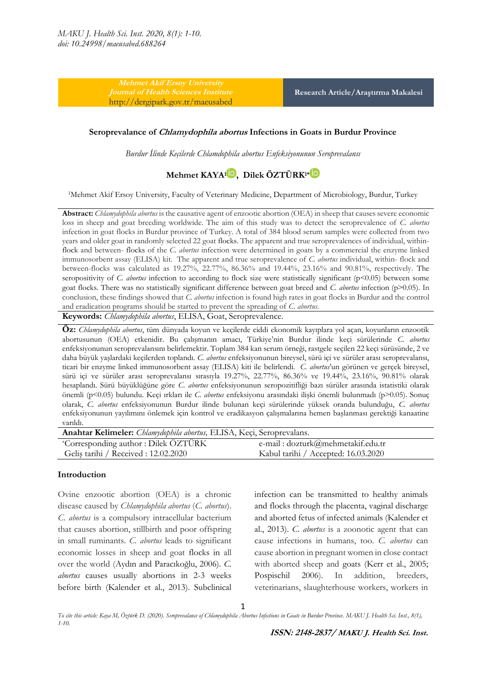**Mehmet Akif Ersoy University**  <http://dergipark.gov.tr/maeusabed>

**Research Article/Araştırma Makalesi**

#### **Seroprevalance of Chlamydophila abortus Infections in Goats in Burdur Province**

*Burdur İlinde Keçilerde Chlamdophila abortus Enfeksiyonunun Seroprevalansı*

# **Mehmet KAYA<sup>1</sup> [,](https://orcid.org/0000-0002-7927-4885) Dilek ÖZTÜRK1\***

<sup>1</sup>Mehmet Akif Ersoy University, Faculty of Veterinary Medicine, Department of Microbiology, Burdur, Turkey

**Abstract:** *Chlamydophila abortus* is the causative agent of enzootic abortion (OEA) in sheep that causes severe economic loss in sheep and goat breeding worldwide. The aim of this study was to detect the seroprevalence of *C. abortus* infection in goat flocks in Burdur province of Turkey. A total of 384 blood serum samples were collected from two years and older goat in randomly selected 22 goat flocks. The apparent and true seroprevalences of individual, withinflock and between- flocks of the *C. abortus* infection were determined in goats by a commercial the enzyme linked immunosorbent assay (ELISA) kit. The apparent and true seroprevalence of *C. abortus* individual, within- flock and between-flocks was calculated as 19.27%, 22.77%, 86.36% and 19.44%, 23.16% and 90.81%, respectively. The seropositivity of *C. abortus* infection to according to flock size were statistically significant (p<0.05) between some goat flocks. There was no statistically significant difference between goat breed and *C. abortus* infection (p˃0.05). In conclusion, these findings showed that *C. abortus* infection is found high rates in goat flocks in Burdur and the control and eradication programs should be started to prevent the spreading of *C. abortus*.

**Keywords:** *Chlamydophila abortus*, ELISA, Goat, Seroprevalence.

**Öz:** *Chlamydophila abortus*, tüm dünyada koyun ve keçilerde ciddi ekonomik kayıplara yol açan, koyunların enzootik abortusunun (OEA) etkenidir. Bu çalışmanın amacı, Türkiye'nin Burdur ilinde keçi sürülerinde *C. abortus* enfeksiyonunun seroprevalansını belirlemektir. Toplam 384 kan serum örneği, rastgele seçilen 22 keçi sürüsünde, 2 ve daha büyük yaşlardaki keçilerden toplandı. *C. abortus* enfeksiyonunun bireysel, sürü içi ve sürüler arası seroprevalansı, ticari bir enzyme linked immunosorbent assay (ELISA) kiti ile belirlendi*. C. abortus*'un görünen ve gerçek bireysel, sürü içi ve sürüler arası seroprevalansı sırasıyla 19.27%, 22.77%, 86.36% ve 19.44%, 23.16%, 90.81% olarak hesaplandı. Sürü büyüklüğüne göre *C. abortus* enfeksiyonunun seropozitifliği bazı sürüler arasında istatistiki olarak önemli (p˂0.05) bulundu. Keçi ırkları ile *C. abortus* enfeksiyonu arasındaki ilişki önemli bulunmadı (p˃0.05). Sonuç olarak, *C. abortus* enfeksiyonunun Burdur ilinde bulunan keçi sürülerinde yüksek oranda bulunduğu, *C. abortus* enfeksiyonunun yayılımını önlemek için kontrol ve eradikasyon çalışmalarına hemen başlanması gerektiği kanaatine varıldı.

| Anahtar Kelimeler: Chlamydophila abortus, ELISA, Keçi, Seroprevalans. |                                     |  |  |  |  |
|-----------------------------------------------------------------------|-------------------------------------|--|--|--|--|
| *Corresponding author : Dilek ÖZTÜRK                                  | e-mail: dozturk@mehmetakif.edu.tr   |  |  |  |  |
| Geliș tarihi / Received : 12.02.2020                                  | Kabul tarihi / Accepted: 16.03.2020 |  |  |  |  |

#### **Introduction**

Ovine enzootic abortion (OEA) is a chronic disease caused by *Chlamydophila abortus* (*C. abortus*). *C. abortus* is a compulsory intracellular bacterium that causes abortion, stillbirth and poor offspring in small ruminants. *C. abortus* leads to significant economic losses in sheep and goat flocks in all over the world (Aydın and Paracıkoğlu, 2006). *C. abortus* causes usually abortions in 2-3 weeks before birth (Kalender et al., 2013). Subclinical

infection can be transmitted to healthy animals and flocks through the placenta, vaginal discharge and aborted fetus of infected animals (Kalender et al., 2013). *C. abortus* is a zoonotic agent that can cause infections in humans, too. *C. abortus* can cause abortion in pregnant women in close contact with aborted sheep and goats (Kerr et al., 2005; Pospischil 2006). In addition, breeders, veterinarians, slaughterhouse workers, workers in

*To cite this article: Kaya M, Öztürk D. (2020). Seroprevalance of Chlamydophila Abortus Infections in Goats in Burdur Province. MAKU J. Health Sci. Inst., 8(1), 1-10.*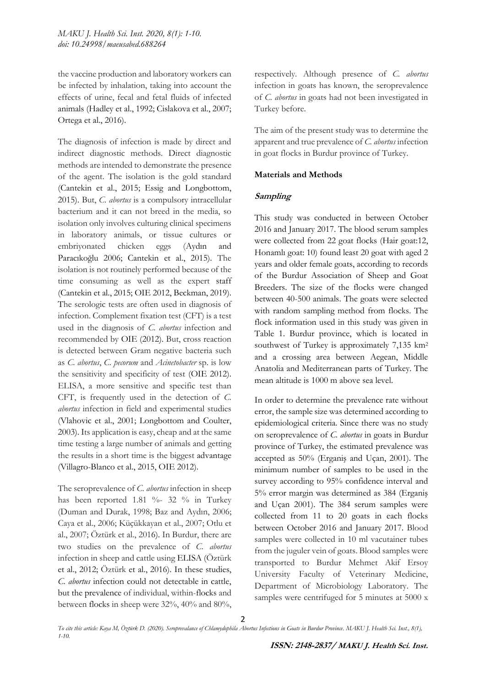the vaccine production and laboratory workers can be infected by inhalation, taking into account the effects of urine, fecal and fetal fluids of infected animals (Hadley et al., 1992; Cislakova et al., 2007; Ortega et al., 2016).

The diagnosis of infection is made by direct and indirect diagnostic methods. Direct diagnostic methods are intended to demonstrate the presence of the agent. The isolation is the gold standard (Cantekin et al., 2015; Essig and Longbottom, 2015). But, *C. abortus* is a compulsory intracellular bacterium and it can not breed in the media, so isolation only involves culturing clinical specimens in laboratory animals, or tissue cultures or embriyonated chicken eggs (Aydın and Paracıkoğlu 2006; Cantekin et al., 2015). The isolation is not routinely performed because of the time consuming as well as the expert staff (Cantekin et al., 2015; OIE 2012, Beckman, 2019). The serologic tests are often used in diagnosis of infection. Complement fixation test (CFT) is a test used in the diagnosis of *C. abortus* infection and recommended by OIE (2012). But, cross reaction is detected between Gram negative bacteria such as *C. abortus*, *C. pecorum* and *Acinetobacter* sp. is low the sensitivity and specificity of test (OIE 2012). ELISA, a more sensitive and specific test than CFT, is frequently used in the detection of *C. abortus* infection in field and experimental studies (Vlahovic et al., 2001; Longbottom and Coulter, 2003). Its application is easy, cheap and at the same time testing a large number of animals and getting the results in a short time is the biggest advantage (Villagro-Blanco et al., 2015, OIE 2012).

The seroprevalence of *C. abortus* infection in sheep has been reported 1.81 %- 32 % in Turkey (Duman and Durak, 1998; Baz and Aydın, 2006; Caya et al., 2006; Küçükkayan et al., 2007; Otlu et al., 2007; Öztürk et al., 2016). In Burdur, there are two studies on the prevalence of *C. abortus* infection in sheep and cattle using ELISA (Öztürk et al., 2012; Öztürk et al., 2016). In these studies, *C. abortus* infection could not detectable in cattle, but the prevalence of individual, within-flocks and between flocks in sheep were 32%, 40% and 80%,

respectively. Although presence of *C. abortus* infection in goats has known, the seroprevalence of *C. abortus* in goats had not been investigated in Turkey before.

The aim of the present study was to determine the apparent and true prevalence of *C. abortus* infection in goat flocks in Burdur province of Turkey.

# **Materials and Methods**

# **Sampling**

This study was conducted in between October 2016 and January 2017. The blood serum samples were collected from 22 goat flocks (Hair goat:12, Honamlı goat: 10) found least 20 goat with aged 2 years and older female goats, according to records of the Burdur Association of Sheep and Goat Breeders. The size of the flocks were changed between 40-500 animals. The goats were selected with random sampling method from flocks. The flock information used in this study was given in Table 1. Burdur province, which is located in southwest of Turkey is approximately 7,135 km<sup>2</sup> and a crossing area between Aegean, Middle Anatolia and Mediterranean parts of Turkey. The mean altitude is 1000 m above sea level.

In order to determine the prevalence rate without error, the sample size was determined according to epidemiological criteria. Since there was no study on seroprevalence of *C. abortus* in goats in Burdur province of Turkey, the estimated prevalence was accepted as 50% (Erganiş and Uçan, 2001). The minimum number of samples to be used in the survey according to 95% confidence interval and 5% error margin was determined as 384 (Erganiş and Uçan 2001). The 384 serum samples were collected from 11 to 20 goats in each flocks between October 2016 and January 2017. Blood samples were collected in 10 ml vacutainer tubes from the juguler vein of goats. Blood samples were transported to Burdur Mehmet Akif Ersoy University Faculty of Veterinary Medicine, Department of Microbiology Laboratory. The samples were centrifuged for 5 minutes at 5000 x

*To cite this article: Kaya M, Öztürk D. (2020). Seroprevalance of Chlamydophila Abortus Infections in Goats in Burdur Province. MAKU J. Health Sci. Inst., 8(1), 1-10.*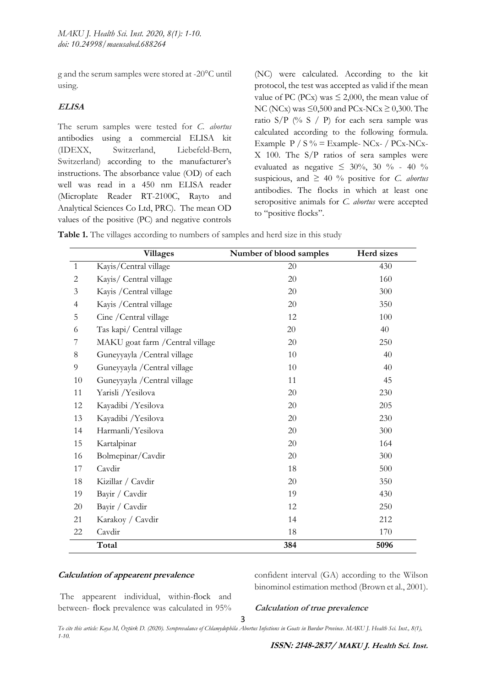g and the serum samples were stored at -20°C until using.

# **ELISA**

The serum samples were tested for *C. abortus*  antibodies using a commercial ELISA kit (IDEXX, Switzerland, Liebefeld-Bern, Switzerland) according to the manufacturer's instructions. The absorbance value (OD) of each well was read in a 450 nm ELISA reader (Microplate Reader RT-2100C, Rayto and Analytical Sciences Co Ltd, PRC). The mean OD values of the positive (PC) and negative controls

(NC) were calculated. According to the kit protocol, the test was accepted as valid if the mean value of PC (PCx) was  $\leq$  2,000, the mean value of NC (NCx) was  $\leq 0,500$  and PCx-NCx  $\geq 0,300$ . The ratio  $S/P$  (% S / P) for each sera sample was calculated according to the following formula. Example  $P / S \%$  = Example- NCx- $/$  PCx-NCx-X 100. The S/P ratios of sera samples were evaluated as negative  $\leq 30\%$ , 30 % - 40 % suspicious, and  $\geq 40$  % positive for *C. abortus* antibodies. The flocks in which at least one seropositive animals for *C. abortus* were accepted to "positive flocks".

**Table 1.** The villages according to numbers of samples and herd size in this study

|              | <b>Villages</b>                  | Number of blood samples | Herd sizes |
|--------------|----------------------------------|-------------------------|------------|
| $\mathbf{1}$ | Kayis/Central village            | 20                      | 430        |
| 2            | Kayis/ Central village           | 20                      | 160        |
| 3            | Kayis / Central village          | 20                      | 300        |
| 4            | Kayis / Central village          | 20                      | 350        |
| 5            | Cine / Central village           | 12                      | 100        |
| 6            | Tas kapi/ Central village        | 20                      | 40         |
| 7            | MAKU goat farm / Central village | 20                      | 250        |
| 8            | Guneyyayla / Central village     | 10                      | 40         |
| 9            | Guneyyayla / Central village     | 10                      | 40         |
| 10           | Guneyyayla / Central village     | 11                      | 45         |
| 11           | Yarisli /Yesilova                | 20                      | 230        |
| 12           | Kayadibi /Yesilova               | 20                      | 205        |
| 13           | Kayadibi /Yesilova               | 20                      | 230        |
| 14           | Harmanli/Yesilova                | 20                      | 300        |
| 15           | Kartalpinar                      | 20                      | 164        |
| 16           | Bolmepinar/Cavdir                | 20                      | 300        |
| 17           | Cavdir                           | 18                      | 500        |
| 18           | Kizillar / Cavdir                | 20                      | 350        |
| 19           | Bayir / Cavdir                   | 19                      | 430        |
| 20           | Bayir / Cavdir                   | 12                      | 250        |
| 21           | Karakoy / Cavdir                 | 14                      | 212        |
| 22           | Cavdir                           | 18                      | 170        |
|              | Total                            | 384                     | 5096       |

# **Calculation of appearent prevalence**

confident interval (GA) according to the Wilson binominol estimation method (Brown et al., 2001).

The appearent individual, within-flock and between- flock prevalence was calculated in 95%

**Calculation of true prevalence**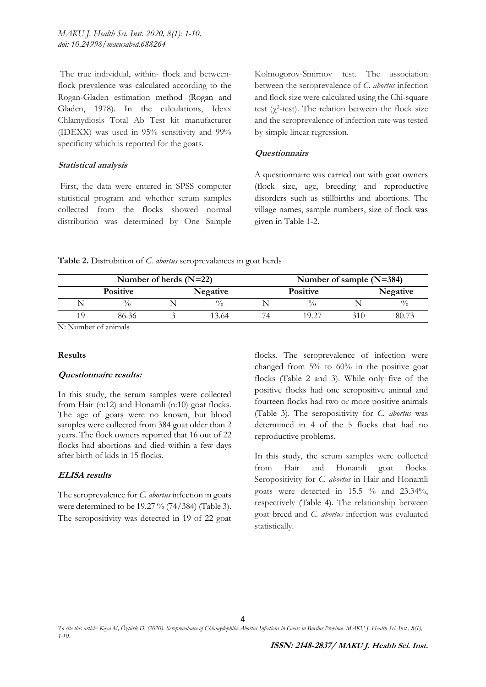The true individual, within- flock and betweenflock prevalence was calculated according to the Rogan-Gladen estimation method (Rogan and Gladen, 1978). In the calculations, Idexx Chlamydiosis Total Ab Test kit manufacturer (IDEXX) was used in 95% sensitivity and 99% specificity which is reported for the goats.

### **Statistical analysis**

First, the data were entered in SPSS computer statistical program and whether serum samples collected from the flocks showed normal distribution was determined by One Sample Kolmogorov-Smirnov test. The association between the seroprevalence of *C. abortus* infection and flock size were calculated using the Chi-square test ( $\gamma^2$ -test). The relation between the flock size and the seroprevalence of infection rate was tested by simple linear regression.

# **Questionnairs**

A questionnaire was carried out with goat owners (flock size, age, breeding and reproductive disorders such as stillbirths and abortions. The village names, sample numbers, size of flock was given in Table 1-2.

## **Table 2.** Distrubition of *C. abortus* seroprevalances in goat herds

|                 | Number of herds $(N=22)$ |                 | Number of sample $(N=384)$ |                 |  |             |
|-----------------|--------------------------|-----------------|----------------------------|-----------------|--|-------------|
| <b>Positive</b> |                          | <b>Negative</b> |                            | <b>Positive</b> |  | Negative    |
|                 |                          | 0/              |                            |                 |  | $^{0}/_{0}$ |
| 86.36           |                          | 13.64           |                            | 10.27           |  | 80.73       |

N: Number of animals

### **Results**

### **Questionnaire results:**

In this study, the serum samples were collected from Hair (n:12) and Honamli (n:10) goat flocks. The age of goats were no known, but blood samples were collected from 384 goat older than 2 years. The flock owners reported that 16 out of 22 flocks had abortions and died within a few days after birth of kids in 15 flocks.

# **ELISA results**

The seroprevalence for *C. abortus* infection in goats were determined to be 19.27 % (74/384) (Table 3). The seropositivity was detected in 19 of 22 goat flocks. The seroprevalence of infection were changed from 5% to 60% in the positive goat flocks (Table 2 and 3). While only five of the positive flocks had one seropositive animal and fourteen flocks had two or more positive animals (Table 3). The seropositivity for *C. abortus* was determined in 4 of the 5 flocks that had no reproductive problems.

In this study, the serum samples were collected from Hair and Honamli goat flocks. Seropositivity for *C. abortus* in Hair and Honamli goats were detected in 15.5 % and 23.34%, respectively (Table 4). The relationship between goat breed and *C. abortus* infection was evaluated statistically.

*To cite this article: Kaya M, Öztürk D. (2020). Seroprevalance of Chlamydophila Abortus Infections in Goats in Burdur Province. MAKU J. Health Sci. Inst., 8(1), 1-10.*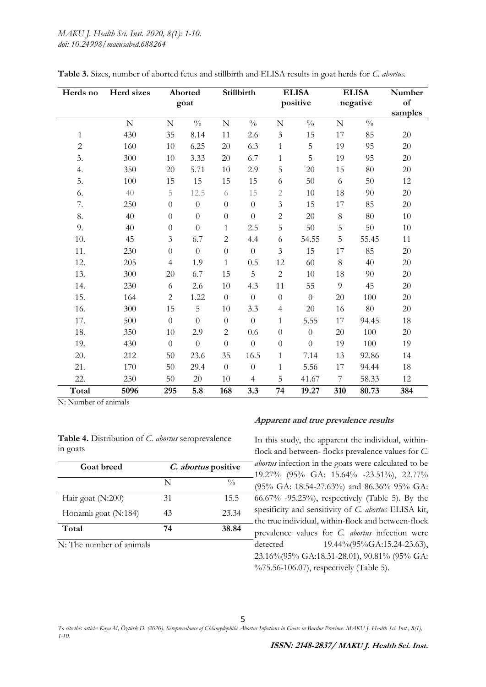| Herds no     | Herd sizes     |                | Aborted<br>goat  |                  | Stillbirth       |                  | <b>ELISA</b><br>positive |             | <b>ELISA</b><br>negative | Number<br>of<br>samples |
|--------------|----------------|----------------|------------------|------------------|------------------|------------------|--------------------------|-------------|--------------------------|-------------------------|
|              | $\overline{N}$ | $\mathbf N$    | $\frac{0}{0}$    | ${\bf N}$        | $\frac{0}{0}$    | $\mathbf N$      | $\frac{0}{0}$            | $\mathbf N$ | $\frac{0}{0}$            |                         |
| $\mathbf{1}$ | 430            | 35             | 8.14             | $11\,$           | 2.6              | $\mathfrak{Z}$   | 15                       | 17          | 85                       | 20                      |
| $\sqrt{2}$   | 160            | 10             | 6.25             | 20               | 6.3              | $\mathbf{1}$     | 5                        | 19          | 95                       | 20                      |
| 3.           | 300            | 10             | 3.33             | 20               | 6.7              | $\mathbf{1}$     | 5                        | 19          | 95                       | 20                      |
| 4.           | 350            | $20\,$         | 5.71             | 10               | 2.9              | $\overline{5}$   | 20                       | 15          | 80                       | 20                      |
| 5.           | 100            | 15             | 15               | 15               | 15               | 6                | 50                       | 6           | 50                       | 12                      |
| 6.           | 40             | 5              | 12.5             | 6                | 15               | $\sqrt{2}$       | 10                       | 18          | 90                       | 20                      |
| 7.           | 250            | $\theta$       | $\boldsymbol{0}$ | $\boldsymbol{0}$ | $\theta$         | $\mathfrak{Z}$   | 15                       | 17          | 85                       | 20                      |
| 8.           | 40             | $\theta$       | $\boldsymbol{0}$ | $\boldsymbol{0}$ | $\theta$         | $\overline{2}$   | 20                       | $8\,$       | 80                       | 10                      |
| 9.           | 40             | $\theta$       | $\overline{0}$   | $\mathbf{1}$     | 2.5              | 5                | 50                       | 5           | 50                       | $10\,$                  |
| 10.          | 45             | 3              | 6.7              | $\overline{c}$   | 4.4              | 6                | 54.55                    | 5           | 55.45                    | 11                      |
| 11.          | 230            | $\theta$       | $\overline{0}$   | $\boldsymbol{0}$ | $\theta$         | $\mathfrak{Z}$   | 15                       | 17          | 85                       | 20                      |
| 12.          | 205            | $\overline{4}$ | 1.9              | $\mathbf{1}$     | 0.5              | 12               | 60                       | 8           | 40                       | 20                      |
| 13.          | 300            | 20             | 6.7              | 15               | 5                | $\overline{c}$   | 10                       | 18          | 90                       | 20                      |
| 14.          | 230            | 6              | 2.6              | 10               | 4.3              | 11               | 55                       | 9           | 45                       | 20                      |
| 15.          | 164            | $\overline{c}$ | 1.22             | $\boldsymbol{0}$ | $\boldsymbol{0}$ | $\boldsymbol{0}$ | $\boldsymbol{0}$         | 20          | 100                      | 20                      |
| 16.          | 300            | 15             | 5                | 10               | 3.3              | $\overline{4}$   | 20                       | 16          | 80                       | 20                      |
| 17.          | 500            | $\theta$       | $\overline{0}$   | $\boldsymbol{0}$ | $\overline{0}$   | $\mathbf{1}$     | 5.55                     | 17          | 94.45                    | 18                      |
| 18.          | 350            | 10             | 2.9              | $\overline{c}$   | 0.6              | $\boldsymbol{0}$ | $\theta$                 | 20          | 100                      | 20                      |
| 19.          | 430            | $\theta$       | $\overline{0}$   | $\overline{0}$   | $\overline{0}$   | $\overline{0}$   | $\theta$                 | 19          | 100                      | 19                      |
| 20.          | 212            | 50             | 23.6             | 35               | 16.5             | $\mathbf{1}$     | 7.14                     | 13          | 92.86                    | 14                      |
| 21.          | 170            | 50             | 29.4             | $\overline{0}$   | $\theta$         | 1                | 5.56                     | 17          | 94.44                    | 18                      |
| 22.          | 250            | 50             | 20               | 10               | $\overline{4}$   | 5                | 41.67                    | 7           | 58.33                    | 12                      |
| Total        | 5096           | 295            | 5.8              | 168              | 3.3              | 74               | 19.27                    | 310         | 80.73                    | 384                     |

**Table 3.** Sizes, number of aborted fetus and stillbirth and ELISA results in goat herds for *C. abortus.*

N: Number of animals

|          |  | Table 4. Distribution of C. abortus seroprevalence |
|----------|--|----------------------------------------------------|
| in goats |  |                                                    |

| <b>Goat breed</b>    | <i>C. abortus</i> positive |               |
|----------------------|----------------------------|---------------|
|                      | N                          | $\frac{0}{0}$ |
| Hair goat $(N:200)$  | 31                         | 15.5          |
| Honamlı goat (N:184) | 43                         | 23.34         |
| Total                | 74                         | 38.84         |

N: The number of animals

# **Apparent and true prevalence results**

In this study, the apparent the individual, withinflock and between- flocks prevalence values for *C. abortus* infection in the goats were calculated to be 19.27% (95% GA: 15.64% -23.51%), 22.77% (95% GA: 18.54-27.63%) and 86.36% 95% GA:  $-66.67\%$  -95.25%), respectively (Table 5). By the spesificity and sensitivity of *C. abortus* ELISA kit, the true individual, within-flock and between-flock prevalence values for *C. abortus* infection were detected 19.44%(95%GA:15.24-23.63), 23.16%(95% GA:18.31-28.01), 90.81% (95% GA: %75.56-106.07), respectively (Table 5).

5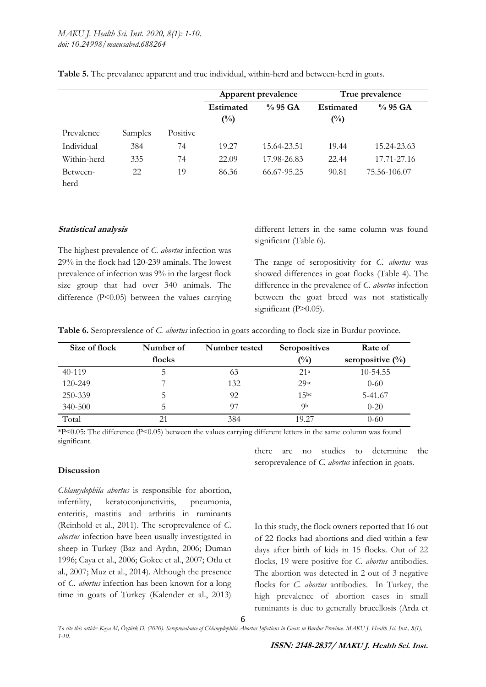|                  |         |          | Apparent prevalence                |             |                                    | True prevalence |
|------------------|---------|----------|------------------------------------|-------------|------------------------------------|-----------------|
|                  |         |          | <b>Estimated</b><br>$\binom{0}{0}$ | $%95$ GA    | <b>Estimated</b><br>$\binom{0}{0}$ | $\%$ 95 GA      |
| Prevalence       | Samples | Positive |                                    |             |                                    |                 |
| Individual       | 384     | 74       | 19.27                              | 15.64-23.51 | 19.44                              | 15.24-23.63     |
| Within-herd      | 335     | 74       | 22.09                              | 17.98-26.83 | 22.44                              | 17.71-27.16     |
| Between-<br>herd | 22      | 19       | 86.36                              | 66.67-95.25 | 90.81                              | 75.56-106.07    |

**Table 5.** The prevalance apparent and true individual, within-herd and between-herd in goats.

### **Statistical analysis**

The highest prevalence of *C. abortus* infection was 29% in the flock had 120-239 aminals. The lowest prevalence of infection was 9% in the largest flock size group that had over 340 animals. The difference (P˂0.05) between the values carrying

different letters in the same column was found significant (Table 6).

The range of seropositivity for *C. abortus* was showed differences in goat flocks (Table 4). The difference in the prevalence of *C. abortus* infection between the goat breed was not statistically significant (P>0.05).

**Table 6.** Seroprevalence of *C. abortus* infection in goats according to flock size in Burdur province.

| Size of flock | Number of<br>Number tested |     | <b>Seropositives</b> | Rate of             |
|---------------|----------------------------|-----|----------------------|---------------------|
|               | flocks                     |     | $\binom{0}{0}$       | seropositive $(\%)$ |
| $40-119$      | 5                          | 63  | 21 <sup>a</sup>      | 10-54.55            |
| 120-249       |                            | 132 | $29a$ c              | $0 - 60$            |
| 250-339       | 5                          | 92  | 15 <sub>bc</sub>     | 5-41.67             |
| 340-500       | 5                          | 97  | QЬ                   | $0-20$              |
| Total         | 21                         | 384 | 19.27                | $0 - 60$            |

\*P˂0.05: The difference (P˂0.05) between the values carrying different letters in the same column was found significant.

### **Discussion**

*Chlamydophila abortus* is responsible for abortion, infertility, keratoconjunctivitis, pneumonia, enteritis, mastitis and arthritis in ruminants (Reinhold et al., 2011). The seroprevalence of *C. abortus* infection have been usually investigated in sheep in Turkey (Baz and Aydın, 2006; Duman 1996; Caya et al., 2006; Gokce et al., 2007; Otlu et al., 2007; Muz et al., 2014). Although the presence of *C. abortus* infection has been known for a long time in goats of Turkey (Kalender et al., 2013)

there are no studies to determine the seroprevalence of *C. abortus* infection in goats.

In this study, the flock owners reported that 16 out of 22 flocks had abortions and died within a few days after birth of kids in 15 flocks. Out of 22 flocks, 19 were positive for *C. abortus* antibodies. The abortion was detected in 2 out of 3 negative flocks for *C. abortus* antibodies. In Turkey, the high prevalence of abortion cases in small ruminants is due to generally brucellosis (Arda et

*To cite this article: Kaya M, Öztürk D. (2020). Seroprevalance of Chlamydophila Abortus Infections in Goats in Burdur Province. MAKU J. Health Sci. Inst., 8(1), 1-10.*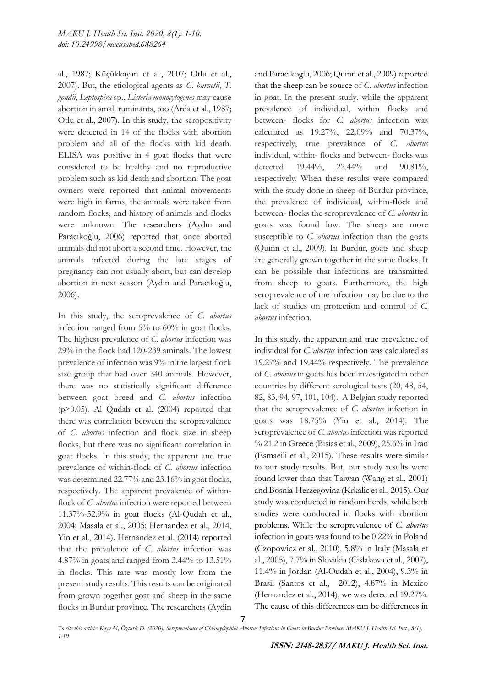al., 1987; Küçükkayan et al., 2007; Otlu et al., 2007). But, the etiological agents as *C. burnetii*, *T. gondii*, *Leptospira* sp., *Listeria monocytogenes* may cause abortion in small ruminants, too (Arda et al., 1987; Otlu et al., 2007). In this study, the seropositivity were detected in 14 of the flocks with abortion problem and all of the flocks with kid death. ELISA was positive in 4 goat flocks that were considered to be healthy and no reproductive problem such as kid death and abortion. The goat owners were reported that animal movements were high in farms, the animals were taken from random flocks, and history of animals and flocks were unknown. The researchers (Aydın and Paracıkoğlu, 2006) reported that once aborted animals did not abort a second time. However, the animals infected during the late stages of pregnancy can not usually abort, but can develop abortion in next season (Aydın and Paracıkoğlu, 2006).

In this study, the seroprevalence of *C. abortus* infection ranged from 5% to 60% in goat flocks. The highest prevalence of *C. abortus* infection was 29% in the flock had 120-239 aminals. The lowest prevalence of infection was 9% in the largest flock size group that had over 340 animals. However, there was no statistically significant difference between goat breed and *C. abortus* infection ( $p$  $>$ 0.05). Al Qudah et al. (2004) reported that there was correlation between the seroprevalence of *C. abortus* infection and flock size in sheep flocks, but there was no significant correlation in goat flocks. In this study, the apparent and true prevalence of within-flock of *C. abortus* infection was determined 22.77% and 23.16% in goat flocks, respectively. The apparent prevalence of withinflock of *C. abortus* infection were reported between 11.37%-52.9% in goat flocks (Al-Qudah et al., 2004; Masala et al., 2005; Hernandez et al., 2014, Yin et al., 2014). Hernandez et al. (2014) reported that the prevalence of *C. abortus* infection was 4.87% in goats and ranged from 3.44% to 13.51% in flocks. This rate was mostly low from the present study results. This results can be originated from grown together goat and sheep in the same flocks in Burdur province. The researchers (Aydin

and Paracikoglu, 2006; Quinn et al., 2009) reported that the sheep can be source of *C. abortus* infection in goat. In the present study, while the apparent prevalence of individual, within flocks and between- flocks for *C. abortus* infection was calculated as 19.27%, 22.09% and 70.37%, respectively, true prevalance of *C. abortus* individual, within- flocks and between- flocks was detected 19.44%, 22.44% and 90.81%, respectively. When these results were compared with the study done in sheep of Burdur province, the prevalence of individual, within-flock and between- flocks the seroprevalence of *C. abortus* in goats was found low. The sheep are more susceptible to *C. abortus* infection than the goats (Quinn et al., 2009). In Burdur, goats and sheep are generally grown together in the same flocks. It can be possible that infections are transmitted from sheep to goats. Furthermore, the high seroprevalence of the infection may be due to the lack of studies on protection and control of *C. abortus* infection.

In this study, the apparent and true prevalence of individual for *C. abortus* infection was calculated as 19.27% and 19.44% respectively. The prevalence of *C. abortus* in goats has been investigated in other countries by different serological tests (20, 48, 54, 82, 83, 94, 97, 101, 104). A Belgian study reported that the seroprevalence of *C. abortus* infection in goats was 18.75% (Yin et al., 2014). The seroprevalence of *C. abortus* infection was reported % 21.2 in Greece (Bisias et al., 2009), 25.6% in Iran (Esmaeili et al., 2015). These results were similar to our study results. But, our study results were found lower than that Taiwan (Wang et al., 2001) and Bosnia-Herzegovina (Krkalic et al., 2015). Our study was conducted in random herds, while both studies were conducted in flocks with abortion problems. While the seroprevalence of *C. abortus* infection in goats was found to be 0.22% in Poland (Czopowicz et al., 2010), 5.8% in Italy (Masala et al., 2005), 7.7% in Slovakia (Cislakova et al., 2007), 11.4% in Jordan (Al-Oudah et al., 2004), 9.3% in Brasil (Santos et al., 2012), 4.87% in Mexico (Hernandez et al., 2014), we was detected 19.27%. The cause of this differences can be differences in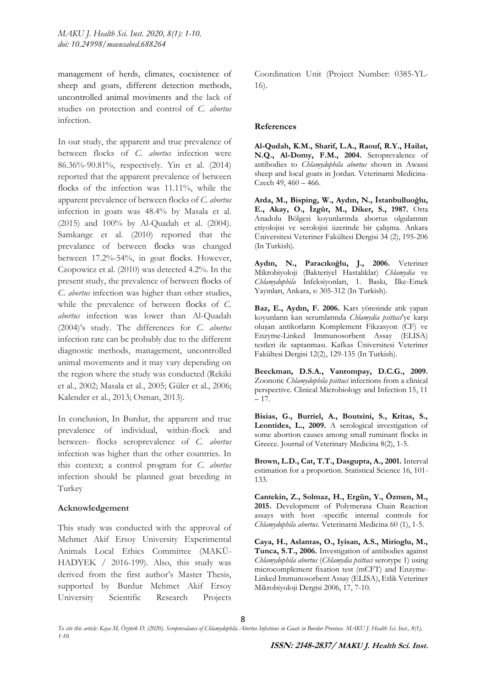management of herds, climates, coexistence of sheep and goats, different detection methods, uncontrolled animal moviments and the lack of studies on protection and control of *C. abortus* infection.

In our study, the apparent and true prevalence of between flocks of *C. abortus* infection were 86.36%-90.81%, respectively. Yin et al. (2014) reported that the apparent prevalence of between flocks of the infection was 11.11%, while the apparent prevalence of between flocks of *C. abortus* infection in goats was 48.4% by Masala et al. (2015) and 100% by Al-Quadah et al. (2004). Samkange et al. (2010) reported that the prevalance of between flocks was changed between 17.2%-54%, in goat flocks. However, Czopowicz et al. (2010) was detected 4.2%. In the present study, the prevalence of between flocks of *C. abortus* infection was higher than other studies, while the prevalence of between flocks of *C. abortus* infection was lower than Al-Quadah (2004)'s study. The differences for *C. abortus* infection rate can be probably due to the different diagnostic methods, management, uncontrolled animal movements and it may vary depending on the region where the study was conducted (Rekiki et al., 2002; Masala et al., 2005; Güler et al., 2006; Kalender et al., 2013; Osman, 2013).

In conclusion, In Burdur, the apparent and true prevalence of individual, within-flock and between- flocks seroprevalence of *C. abortus*  infection was higher than the other countries. In this context; a control program for *C. abortus* infection should be planned goat breeding in Turkey

### **Acknowledgement**

This study was conducted with the approval of Mehmet Akif Ersoy University Experimental Animals Local Ethics Committee (MAKÜ-HADYEK / 2016-199). Also, this study was derived from the first author's Master Thesis, supported by Burdur Mehmet Akif Ersoy University Scientific Research Projects

Coordination Unit (Project Number: 0385-YL-16).

#### **References**

**Al-Qudah, K.M., Sharif, L.A., Raouf, R.Y., Hailat, N.Q., Al-Domy, F.M., 2004.** Seroprevalence of antibodies to *Chlamydophila abortus* shown in Awassi sheep and local goats in Jordan. Veterinarni Medicina-Czech 49, 460 – 466.

**Arda, M., Bisping, W., Aydın, N., İstanbulluoğlu, E., Akay, O., İzgür, M., Diker, S., 1987.** Orta Anadolu Bölgesi koyunlarında abortus olgularının etiyolojisi ve serolojisi üzerinde bir çalışma. Ankara Üniversitesi Veteriner Fakültesi Dergisi 34 (2), 195-206 (In Turkish).

**Aydın, N., Paracıkoğlu, J., 2006.** Veteriner Mikrobiyoloji (Bakteriyel Hastalıklar) *Chlamydia* ve *Chlamydophila* İnfeksiyonları, 1. Baskı, İlke-Emek Yayınları, Ankara, s: 305-312 (In Turkish).

**Baz, E., Aydın, F. 2006.** Kars yöresinde atık yapan koyunların kan serumlarında *Chlamydia psittaci*'ye karşı oluşan antikorların Komplement Fikzasyon (CF) ve Enzyme-Linked Immunosorbent Assay (ELISA) testleri ile saptanması. Kafkas Üniversitesi Veteriner Fakültesi Dergisi 12(2), 129-135 (In Turkish).

**Beeckman, D.S.A., Vanrompay, D.C.G., 2009.** Zoonotic *Chlamydophila psittaci* infections from a clinical perspective. Clinical Microbiology and Infection 15, 11 – 17.

**Bisias, G., Burriel, A., Boutsini, S., Kritas, S., Leontides, L., 2009.** A serological investigation of some abortion causes among small ruminant flocks in Greece. Journal of Veterinary Medicina 8(2), 1-5.

**Brown, L.D., Cat, T.T., Dasgupta, A., 2001.** Interval estimation for a proportion. Statistical Science 16, 101- 133.

**Cantekin, Z., Solmaz, H., Ergün, Y., Özmen, M., 2015.** Development of Polymerasa Chain Reaction assays with host -specific internal controls for *Chlamydophila abortus*. Veterinarni Medicina 60 (1), 1-5.

**Caya, H., Aslantas, O., Iyisan, A.S., Mirioglu, M., Tunca, S.T., 2006.** Investigation of antibodies against *Chlamydophila abortus* (*Chlamydia psittaci* serotype 1) using microcomplement fixation test (mCFT) and Enzyme-Linked Immunosorbent Assay (ELISA), Etlik Veteriner Mikrobiyoloji Dergisi 2006, 17, 7-10.

*To cite this article: Kaya M, Öztürk D. (2020). Seroprevalance of Chlamydophila Abortus Infections in Goats in Burdur Province. MAKU J. Health Sci. Inst., 8(1), 1-10.*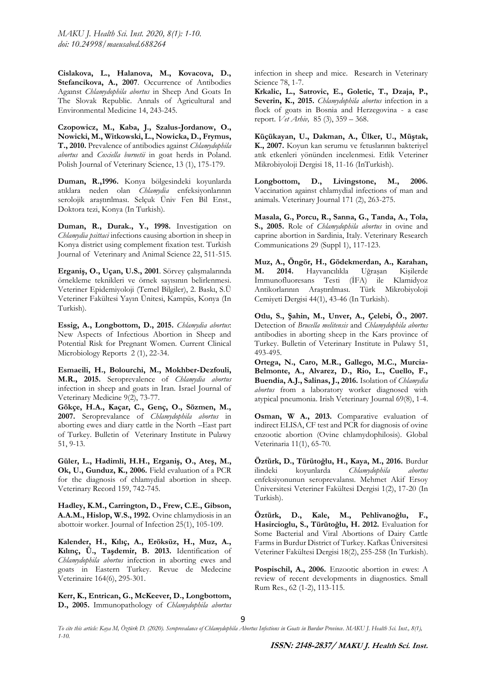**Cislakova, L., Halanova, M., Kovacova, D., Stefancikova, A., 2007**. Occurrence of Antibodies Agaınst *Chlamydophila abortus* in Sheep And Goats In The Slovak Republic. Annals of Agricultural and Environmental Medicine 14, 243-245.

**Czopowicz, M., Kaba, J., Szalus-Jordanow, O., Nowicki, M., Witkowski, L., Nowicka, D., Frymus, T., 2010.** Prevalence of antibodies against *Chlamydophila abortus* and *Coxiella burnetii* in goat herds in Poland. Polish Journal of Veterinary Science, 13 (1), 175-179.

**Duman, R.,1996.** Konya bölgesindeki koyunlarda atıklara neden olan *Chlamydia* enfeksiyonlarının serolojik araştırılması. Selçuk Üniv Fen Bil Enst., Doktora tezi, Konya (In Turkish).

**Duman, R., Durak., Y., 1998.** Investigation on *Chlamydia psittaci* infections causing abortion in sheep in Konya district using complement fixation test. Turkish Journal of Veterinary and Animal Science 22, 511-515.

**Erganiş, O., Uçan, U.S., 2001**. Sörvey çalışmalarında örnekleme teknikleri ve örnek sayısının belirlenmesi. Veteriner Epidemiyoloji (Temel Bilgiler), 2. Baskı, S.Ü Veteriner Fakültesi Yayın Ünitesi, Kampüs, Konya (In Turkish).

**Essig, A., Longbottom, D., 2015.** *Chlamydia abortus*: New Aspects of Infectious Abortion in Sheep and Potential Risk for Pregnant Women. Current Clinical Microbiology Reports 2 (1), 22-34.

**Esmaeili, H., Bolourchi, M., Mokhber-Dezfouli, M.R., 2015.** Seroprevalence of *Chlamydia abortus* infection in sheep and goats in Iran. Israel Journal of Veterinary Medicine 9(2), 73-77.

**Gökçe, H.A., Kaçar, C., Genç, O., Sözmen, M., 2007.** Seroprevalance of *Chlamydophila abortus* in aborting ewes and diary cattle in the North –East part of Turkey. Bulletin of Veterinary Institute in Pulawy 51, 9-13.

**Güler, L., Hadimli, H.H., Erganiş, O., Ateş, M., Ok, U., Gunduz, K., 2006.** Field evaluation of a PCR for the diagnosis of chlamydial abortion in sheep. Veterinary Record 159, 742-745.

**Hadley, K.M., Carrington, D., Frew, C.E., Gibson, A.A.M., Hislop, W.S., 1992.** Ovine chlamydiosis in an abottoir worker. Journal of Infection 25(1), 105-109.

**Kalender, H., Kılıç, A., Eröksüz, H., Muz, A., Kılınç, Ü., Taşdemir, B. 2013.** Identification of *Chlamydophila abortus* infection in aborting ewes and goats in Eastern Turkey. Revue de Medecine Veterinaire 164(6), 295-301.

**Kerr, K., Entrican, G., McKeever, D., Longbottom, D., 2005.** Immunopathology of *Chlamydophila abortus* infection in sheep and mice. Research in Veterinary Science 78, 1-7.

**Krkalic, L., Satrovic, E., Goletic, T., Dzaja, P., Severin, K., 2015.** *Chlamydophila abortus* infection in a flock of goats in Bosnia and Herzegovina - a case report. *Vet Arhiv,* 85 (3), 359 – 368.

**Küçükayan, U., Dakman, A., Ülker, U., Müştak, K., 2007.** Koyun kan serumu ve fetuslarının bakteriyel atık etkenleri yönünden incelenmesi. Etlik Veteriner Mikrobiyoloji Dergisi 18, 11-16 (InTurkish).

**Longbottom, D., Livingstone, M., 2006.** Vaccination against chlamydial infections of man and animals. Veterinary Journal 171 (2), 263-275.

**Masala, G., Porcu, R., Sanna, G., Tanda, A., Tola, S., 2005.** Role of *Chlamydophila abortus* in ovine and caprine abortion in Sardinia, Italy. Veterinary Research Communications 29 (Suppl 1), 117-123.

**Muz, A., Öngör, H., Gödekmerdan, A., Karahan, M. 2014.** Hayvancılıkla Uğraşan Kişilerde İmmunofluoresans Testi (İFA) ile Klamidyoz Antikorlarının Araştırılması. Türk Mikrobiyoloji Cemiyeti Dergisi 44(1), 43-46 (In Turkish).

**Otlu, S., Şahin, M., Unver, A., Çelebi, Ö., 2007.** Detection of *Brucella melitensis* and *Chlamydophila abortus*  antibodies in aborting sheep in the Kars province of Turkey. Bulletin of Veterinary Institute in Pulawy 51, 493-495.

**Ortega, N., Caro, M.R., Gallego, M.C., Murcia-Belmonte, A., Alvarez, D., Rio, L., Cuello, F., Buendia, A.J., Salinas, J., 2016.** Isolation of *Chlamydia abortus* from a laboratory worker diagnosed with atypical pneumonia. Irish Veterinary Journal 69(8), 1-4.

**Osman, W A., 2013.** Comparative evaluation of indirect ELISA, CF test and PCR for diagnosis of ovine enzootic abortion (Ovine chlamydophilosis). Global Veterinaria 11(1), 65-70.

**Öztürk, D., Türütoğlu, H., Kaya, M., 2016.** Burdur ilindeki koyunlarda *Chlamydophila abortus* enfeksiyonunun seroprevalansı. Mehmet Akif Ersoy Üniversitesi Veteriner Fakültesi Dergisi 1(2), 17-20 (In Turkish).

**Öztürk, D., Kale, M., Pehlivanoğlu, F., Hasircioglu, S., Türütoğlu, H. 2012.** Evaluation for Some Bacterial and Viral Abortions of Dairy Cattle Farms in Burdur District of Turkey. Kafkas Üniversitesi Veteriner Fakültesi Dergisi 18(2), 255-258 (In Turkish).

**Pospischil, A., 2006.** Enzootic abortion in ewes: A review of recent developments in diagnostics. Small Rum Res., 62 (1-2), 113-115.